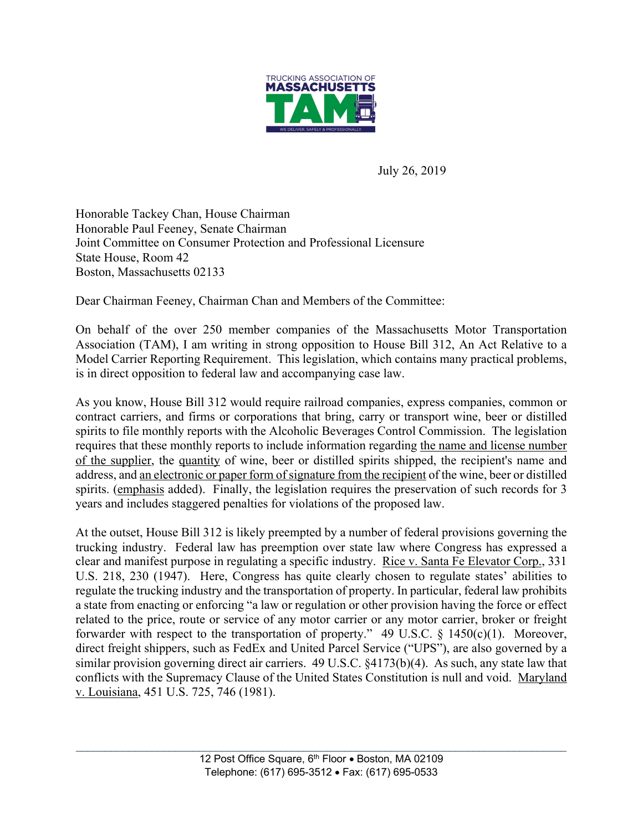

July 26, 2019

Honorable Tackey Chan, House Chairman Honorable Paul Feeney, Senate Chairman Joint Committee on Consumer Protection and Professional Licensure State House, Room 42 Boston, Massachusetts 02133

Dear Chairman Feeney, Chairman Chan and Members of the Committee:

On behalf of the over 250 member companies of the Massachusetts Motor Transportation Association (TAM), I am writing in strong opposition to House Bill 312, An Act Relative to a Model Carrier Reporting Requirement. This legislation, which contains many practical problems, is in direct opposition to federal law and accompanying case law.

As you know, House Bill 312 would require railroad companies, express companies, common or contract carriers, and firms or corporations that bring, carry or transport wine, beer or distilled spirits to file monthly reports with the Alcoholic Beverages Control Commission. The legislation requires that these monthly reports to include information regarding the name and license number of the supplier, the quantity of wine, beer or distilled spirits shipped, the recipient's name and address, and an electronic or paper form of signature from the recipient of the wine, beer or distilled spirits. (emphasis added). Finally, the legislation requires the preservation of such records for 3 years and includes staggered penalties for violations of the proposed law.

At the outset, House Bill 312 is likely preempted by a number of federal provisions governing the trucking industry. Federal law has preemption over state law where Congress has expressed a clear and manifest purpose in regulating a specific industry. Rice v. Santa Fe Elevator Corp., 331 U.S. 218, 230 (1947). Here, Congress has quite clearly chosen to regulate states' abilities to regulate the trucking industry and the transportation of property. In particular, federal law prohibits a state from enacting or enforcing "a law or regulation or other provision having the force or effect related to the price, route or service of any motor carrier or any motor carrier, broker or freight forwarder with respect to the transportation of property." 49 U.S.C. § 1450(c)(1). Moreover, direct freight shippers, such as FedEx and United Parcel Service ("UPS"), are also governed by a similar provision governing direct air carriers. 49 U.S.C. §4173(b)(4). As such, any state law that conflicts with the Supremacy Clause of the United States Constitution is null and void. Maryland v. Louisiana, 451 U.S. 725, 746 (1981).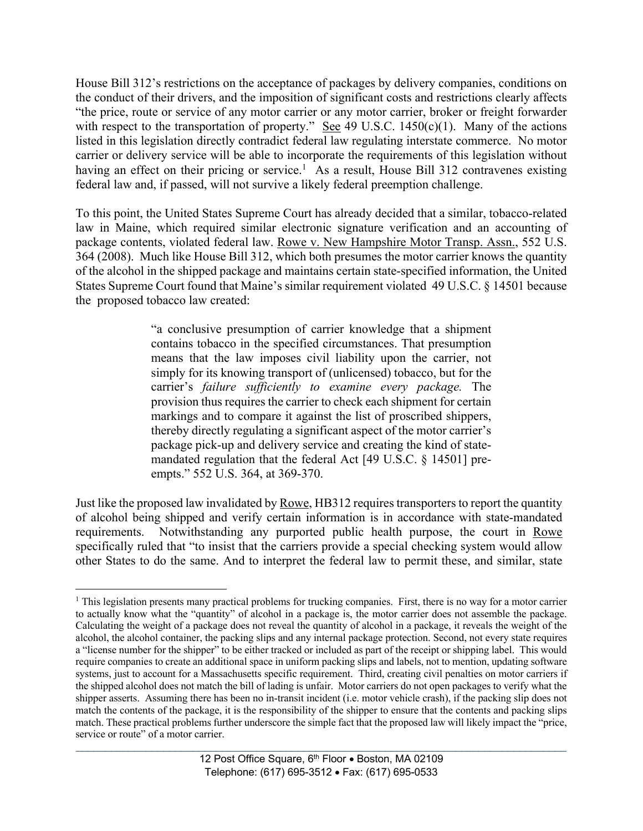House Bill 312's restrictions on the acceptance of packages by delivery companies, conditions on the conduct of their drivers, and the imposition of significant costs and restrictions clearly affects "the price, route or service of any motor carrier or any motor carrier, broker or freight forwarder with respect to the transportation of property." See 49 U.S.C. 1450 $(c)(1)$ . Many of the actions listed in this legislation directly contradict federal law regulating interstate commerce. No motor carrier or delivery service will be able to incorporate the requirements of this legislation without having an effect on their pricing or service.<sup>1</sup> As a result, House Bill 312 contravenes existing federal law and, if passed, will not survive a likely federal preemption challenge.

To this point, the United States Supreme Court has already decided that a similar, tobacco-related law in Maine, which required similar electronic signature verification and an accounting of package contents, violated federal law. Rowe v. New Hampshire Motor Transp. Assn., 552 U.S. 364 (2008). Much like House Bill 312, which both presumes the motor carrier knows the quantity of the alcohol in the shipped package and maintains certain state-specified information, the United States Supreme Court found that Maine's similar requirement violated 49 U.S.C. § 14501 because the proposed tobacco law created:

> "a conclusive presumption of carrier knowledge that a shipment contains tobacco in the specified circumstances. That presumption means that the law imposes civil liability upon the carrier, not simply for its knowing transport of (unlicensed) tobacco, but for the carrier's *failure sufficiently to examine every package.* The provision thus requires the carrier to check each shipment for certain markings and to compare it against the list of proscribed shippers, thereby directly regulating a significant aspect of the motor carrier's package pick-up and delivery service and creating the kind of statemandated regulation that the federal Act [49 U.S.C. § 14501] preempts." 552 U.S. 364, at 369-370.

Just like the proposed law invalidated by Rowe, HB312 requires transporters to report the quantity of alcohol being shipped and verify certain information is in accordance with state-mandated requirements. Notwithstanding any purported public health purpose, the court in Rowe specifically ruled that "to insist that the carriers provide a special checking system would allow other States to do the same. And to interpret the federal law to permit these, and similar, state

<sup>&</sup>lt;sup>1</sup> This legislation presents many practical problems for trucking companies. First, there is no way for a motor carrier to actually know what the "quantity" of alcohol in a package is, the motor carrier does not assemble the package. Calculating the weight of a package does not reveal the quantity of alcohol in a package, it reveals the weight of the alcohol, the alcohol container, the packing slips and any internal package protection. Second, not every state requires a "license number for the shipper" to be either tracked or included as part of the receipt or shipping label. This would require companies to create an additional space in uniform packing slips and labels, not to mention, updating software systems, just to account for a Massachusetts specific requirement. Third, creating civil penalties on motor carriers if the shipped alcohol does not match the bill of lading is unfair. Motor carriers do not open packages to verify what the shipper asserts. Assuming there has been no in-transit incident (i.e. motor vehicle crash), if the packing slip does not match the contents of the package, it is the responsibility of the shipper to ensure that the contents and packing slips match. These practical problems further underscore the simple fact that the proposed law will likely impact the "price, service or route" of a motor carrier.